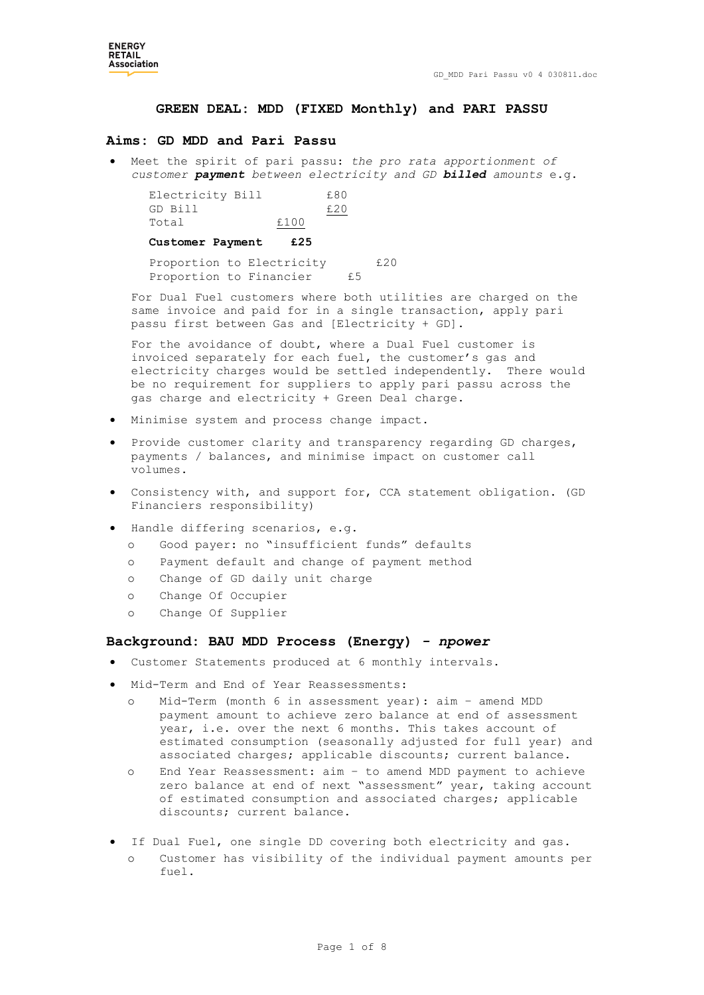### **GREEN DEAL: MDD (FIXED Monthly) and PARI PASSU**

#### **Aims: GD MDD and Pari Passu**

 Meet the spirit of pari passu: *the pro rata apportionment of customer payment between electricity and GD billed amounts* e.g.

| Electricity Bill |      | £80 |
|------------------|------|-----|
| GD Bill          |      | £20 |
| Total            | £100 |     |

**Customer Payment £25**

Proportion to Electricity 620 Proportion to Financier £5

For Dual Fuel customers where both utilities are charged on the same invoice and paid for in a single transaction, apply pari passu first between Gas and [Electricity + GD].

For the avoidance of doubt, where a Dual Fuel customer is invoiced separately for each fuel, the customer's gas and electricity charges would be settled independently. There would be no requirement for suppliers to apply pari passu across the gas charge and electricity + Green Deal charge.

- Minimise system and process change impact.
- Provide customer clarity and transparency regarding GD charges, payments / balances, and minimise impact on customer call volumes.
- Consistency with, and support for, CCA statement obligation. (GD Financiers responsibility)
- Handle differing scenarios, e.g.
	- o Good payer: no "insufficient funds" defaults
	- o Payment default and change of payment method
	- o Change of GD daily unit charge
	- o Change Of Occupier
	- o Change Of Supplier

# **Background: BAU MDD Process (Energy)** *- npower*

- Customer Statements produced at 6 monthly intervals.
- Mid-Term and End of Year Reassessments:
	- o Mid-Term (month 6 in assessment year): aim amend MDD payment amount to achieve zero balance at end of assessment year, i.e. over the next 6 months. This takes account of estimated consumption (seasonally adjusted for full year) and associated charges; applicable discounts; current balance.
	- o End Year Reassessment: aim to amend MDD payment to achieve zero balance at end of next "assessment" year, taking account of estimated consumption and associated charges; applicable discounts; current balance.
- If Dual Fuel, one single DD covering both electricity and gas. Customer has visibility of the individual payment amounts per fuel.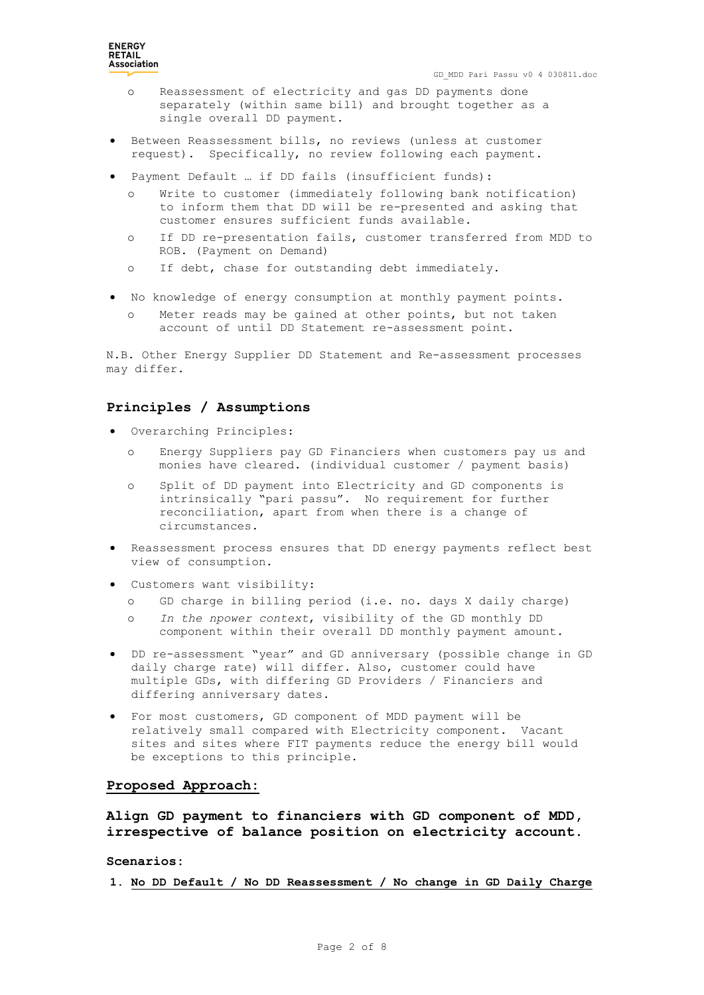- o Reassessment of electricity and gas DD payments done separately (within same bill) and brought together as a single overall DD payment.
- Between Reassessment bills, no reviews (unless at customer request). Specifically, no review following each payment.
- Payment Default … if DD fails (insufficient funds):
	- Write to customer (immediately following bank notification) to inform them that DD will be re-presented and asking that customer ensures sufficient funds available.
	- o If DD re-presentation fails, customer transferred from MDD to ROB. (Payment on Demand)
	- o If debt, chase for outstanding debt immediately.
- No knowledge of energy consumption at monthly payment points.
	- Meter reads may be gained at other points, but not taken account of until DD Statement re-assessment point.

N.B. Other Energy Supplier DD Statement and Re-assessment processes may differ.

### **Principles / Assumptions**

- Overarching Principles:
	- o Energy Suppliers pay GD Financiers when customers pay us and monies have cleared. (individual customer / payment basis)
	- o Split of DD payment into Electricity and GD components is intrinsically "pari passu". No requirement for further reconciliation, apart from when there is a change of circumstances.
- Reassessment process ensures that DD energy payments reflect best view of consumption.
- Customers want visibility:
	- o GD charge in billing period (i.e. no. days X daily charge)
	- o *In the npower context*, visibility of the GD monthly DD component within their overall DD monthly payment amount.
- DD re-assessment "year" and GD anniversary (possible change in GD daily charge rate) will differ. Also, customer could have multiple GDs, with differing GD Providers / Financiers and differing anniversary dates.
- For most customers, GD component of MDD payment will be relatively small compared with Electricity component. Vacant sites and sites where FIT payments reduce the energy bill would be exceptions to this principle.

### **Proposed Approach:**

**Align GD payment to financiers with GD component of MDD, irrespective of balance position on electricity account.**

**Scenarios:**

**1. No DD Default / No DD Reassessment / No change in GD Daily Charge**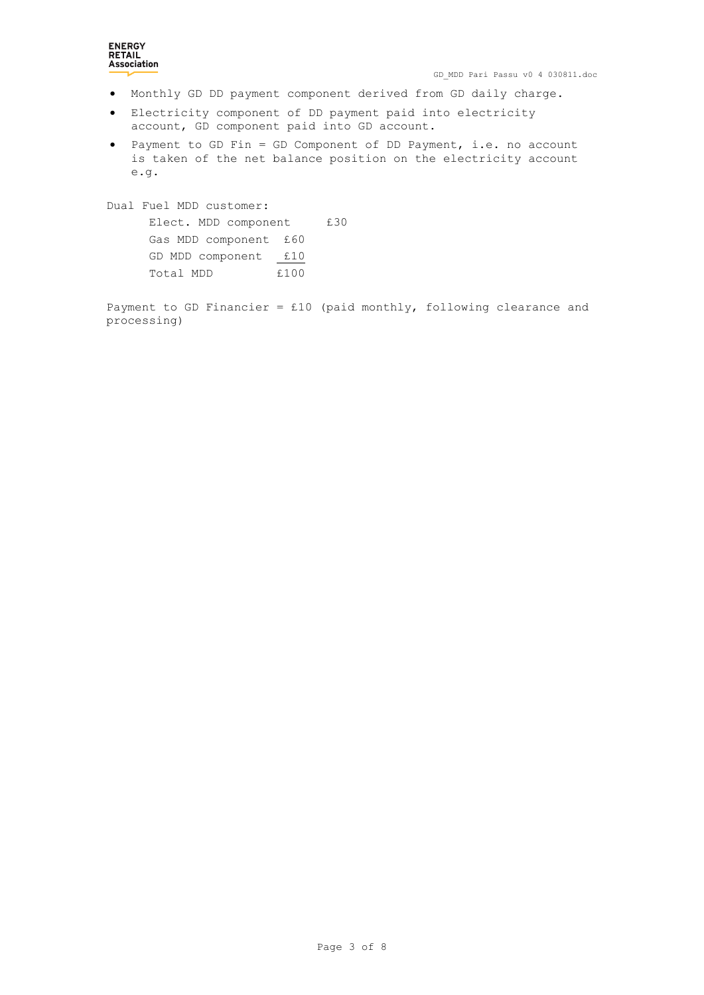# **ENERGY RETAIL**<br>**Association**

- Monthly GD DD payment component derived from GD daily charge.
- Electricity component of DD payment paid into electricity account, GD component paid into GD account.
- Payment to GD Fin = GD Component of DD Payment, i.e. no account is taken of the net balance position on the electricity account e.g.

Dual Fuel MDD customer: Elect. MDD component £30 Gas MDD component £60 GD MDD component  $f10$ Total MDD  $£100$ 

Payment to GD Financier = £10 (paid monthly, following clearance and processing)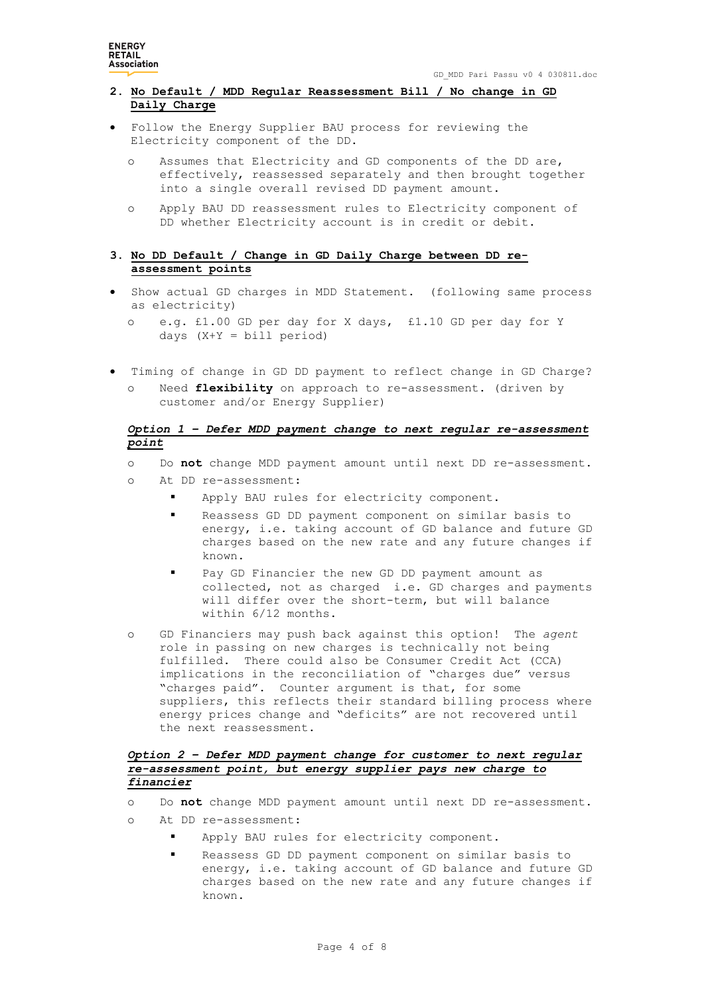**ENERGY RETAIL**<br>Association

# **2. No Default / MDD Regular Reassessment Bill / No change in GD Daily Charge**

- Follow the Energy Supplier BAU process for reviewing the Electricity component of the DD.
	- o Assumes that Electricity and GD components of the DD are, effectively, reassessed separately and then brought together into a single overall revised DD payment amount.
	- o Apply BAU DD reassessment rules to Electricity component of DD whether Electricity account is in credit or debit.

# **3. No DD Default / Change in GD Daily Charge between DD reassessment points**

- Show actual GD charges in MDD Statement. (following same process as electricity)
	- o e.g. £1.00 GD per day for X days, £1.10 GD per day for Y days  $(X+Y = bill period)$
- Timing of change in GD DD payment to reflect change in GD Charge? o Need **flexibility** on approach to re-assessment. (driven by customer and/or Energy Supplier)

# *Option 1 – Defer MDD payment change to next regular re-assessment point*

- o Do **not** change MDD payment amount until next DD re-assessment.
- o At DD re-assessment:
	- Apply BAU rules for electricity component.
	- Reassess GD DD payment component on similar basis to energy, i.e. taking account of GD balance and future GD charges based on the new rate and any future changes if known.
	- Pay GD Financier the new GD DD payment amount as collected, not as charged i.e. GD charges and payments will differ over the short-term, but will balance within 6/12 months.
- o GD Financiers may push back against this option! The *agent* role in passing on new charges is technically not being fulfilled. There could also be Consumer Credit Act (CCA) implications in the reconciliation of "charges due" versus "charges paid". Counter argument is that, for some suppliers, this reflects their standard billing process where energy prices change and "deficits" are not recovered until the next reassessment.

# *Option 2 – Defer MDD payment change for customer to next regular re-assessment point, but energy supplier pays new charge to financier*

- o Do **not** change MDD payment amount until next DD re-assessment.
- o At DD re-assessment:
	- Apply BAU rules for electricity component.
	- Reassess GD DD payment component on similar basis to energy, i.e. taking account of GD balance and future GD charges based on the new rate and any future changes if known.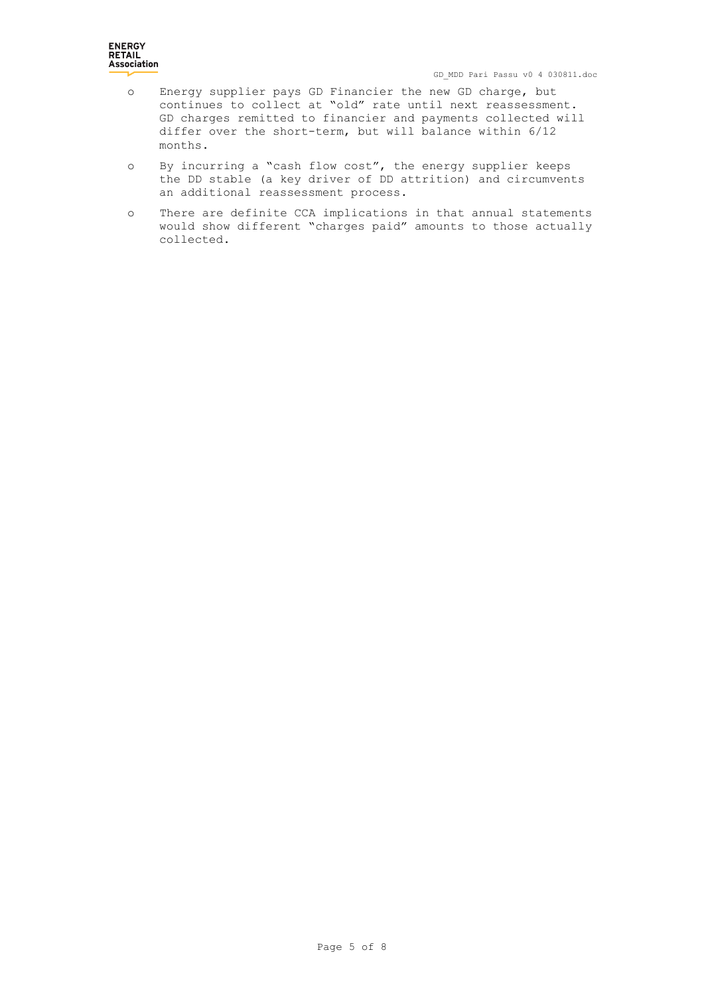- o Energy supplier pays GD Financier the new GD charge, but continues to collect at "old" rate until next reassessment. GD charges remitted to financier and payments collected will differ over the short-term, but will balance within 6/12 months.
- o By incurring a "cash flow cost", the energy supplier keeps the DD stable (a key driver of DD attrition) and circumvents an additional reassessment process.
- o There are definite CCA implications in that annual statements would show different "charges paid" amounts to those actually collected.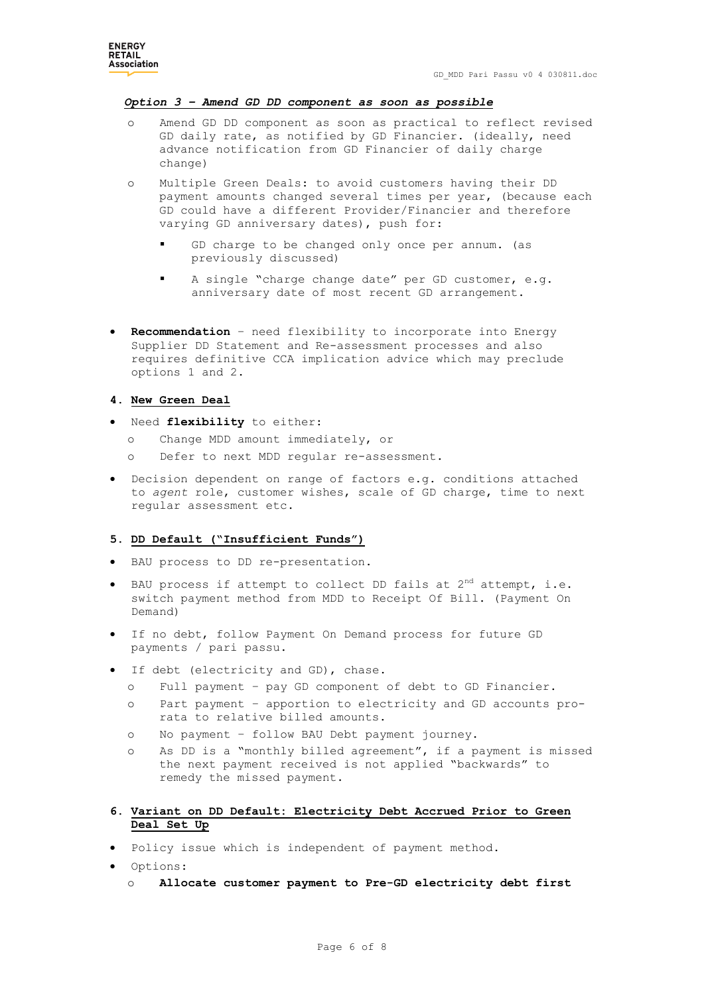### *Option 3 – Amend GD DD component as soon as possible*

- Amend GD DD component as soon as practical to reflect revised GD daily rate, as notified by GD Financier. (ideally, need advance notification from GD Financier of daily charge change)
- o Multiple Green Deals: to avoid customers having their DD payment amounts changed several times per year, (because each GD could have a different Provider/Financier and therefore varying GD anniversary dates), push for:
	- GD charge to be changed only once per annum. (as previously discussed)
	- A single "charge change date" per GD customer, e.g. anniversary date of most recent GD arrangement.
- **Recommendation** need flexibility to incorporate into Energy Supplier DD Statement and Re-assessment processes and also requires definitive CCA implication advice which may preclude options 1 and 2.

### **4. New Green Deal**

- Need **flexibility** to either:
	- o Change MDD amount immediately, or
	- o Defer to next MDD regular re-assessment.
- Decision dependent on range of factors e.g. conditions attached to *agent* role, customer wishes, scale of GD charge, time to next regular assessment etc.

### **5. DD Default ("Insufficient Funds")**

- BAU process to DD re-presentation.
- BAU process if attempt to collect DD fails at 2<sup>nd</sup> attempt, i.e. switch payment method from MDD to Receipt Of Bill. (Payment On Demand)
- If no debt, follow Payment On Demand process for future GD payments / pari passu.
- If debt (electricity and GD), chase.
	- o Full payment pay GD component of debt to GD Financier.
	- o Part payment apportion to electricity and GD accounts prorata to relative billed amounts.
	- o No payment follow BAU Debt payment journey.
	- o As DD is a "monthly billed agreement", if a payment is missed the next payment received is not applied "backwards" to remedy the missed payment.
- **6. Variant on DD Default: Electricity Debt Accrued Prior to Green Deal Set Up**
- Policy issue which is independent of payment method.
- Options:
	- o **Allocate customer payment to Pre-GD electricity debt first**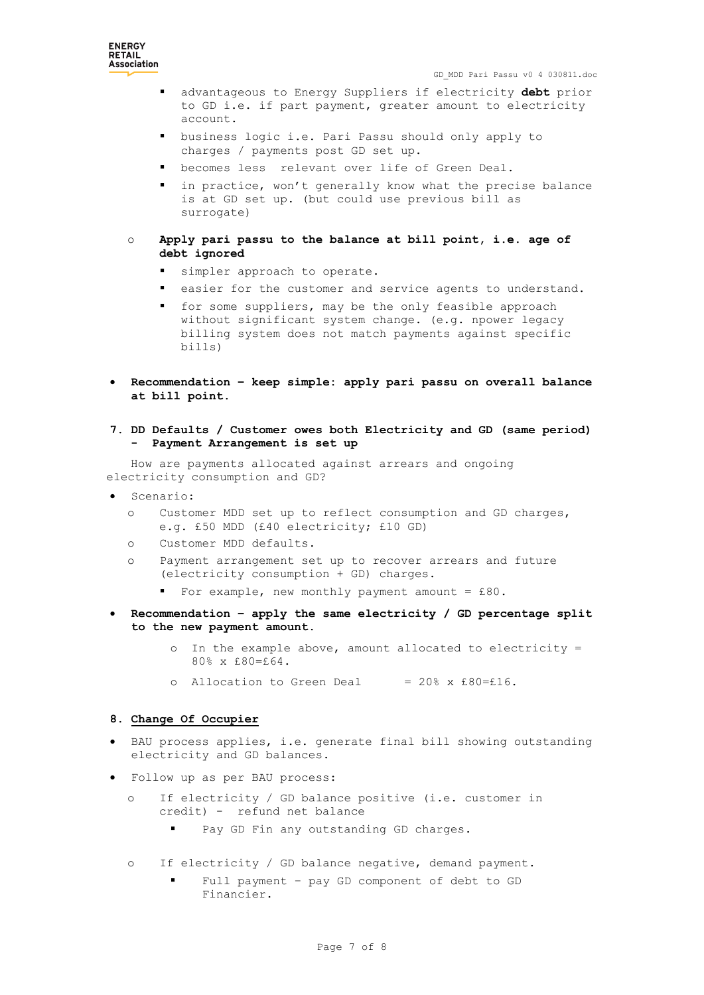

- advantageous to Energy Suppliers if electricity **debt** prior to GD i.e. if part payment, greater amount to electricity account.
- business logic i.e. Pari Passu should only apply to charges / payments post GD set up.
- becomes less relevant over life of Green Deal.
- in practice, won't generally know what the precise balance is at GD set up. (but could use previous bill as surrogate)
- o **Apply pari passu to the balance at bill point, i.e. age of debt ignored**
	- simpler approach to operate.
	- easier for the customer and service agents to understand.
	- **for some suppliers, may be the only feasible approach** without significant system change. (e.g. npower legacy billing system does not match payments against specific bills)
- **Recommendation – keep simple: apply pari passu on overall balance at bill point.**
- **7. DD Defaults / Customer owes both Electricity and GD (same period) - Payment Arrangement is set up**

How are payments allocated against arrears and ongoing electricity consumption and GD?

- Scenario:
	- o Customer MDD set up to reflect consumption and GD charges, e.g. £50 MDD (£40 electricity; £10 GD)
	- o Customer MDD defaults.
	- o Payment arrangement set up to recover arrears and future (electricity consumption + GD) charges.
		- For example, new monthly payment amount = £80.
- **Recommendation – apply the same electricity / GD percentage split to the new payment amount.**
	- o In the example above, amount allocated to electricity = 80% x £80=£64.
	- o Allocation to Green Deal =  $20\%$  x £80=£16.

### **8. Change Of Occupier**

- BAU process applies, i.e. generate final bill showing outstanding electricity and GD balances.
- Follow up as per BAU process:
	- o If electricity / GD balance positive (i.e. customer in credit) - refund net balance
		- Pay GD Fin any outstanding GD charges.
	- o If electricity / GD balance negative, demand payment.
		- Full payment pay GD component of debt to GD Financier.